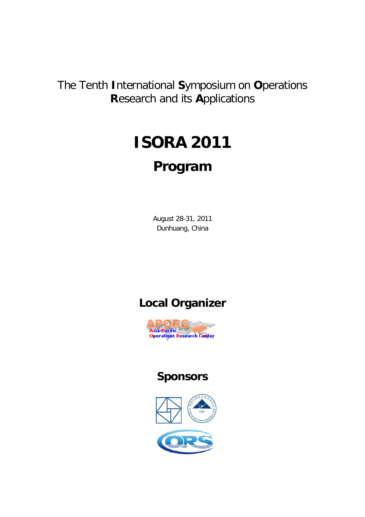The Tenth International Symposium on Operations **Research and its Applications** 

# **ISORA 2011** Program

August 28-31, 2011 Dunhuang, China

# **Local Organizer**



# **Sponsors**

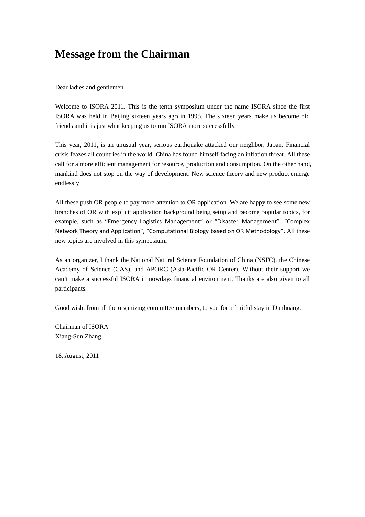### **Message from the Chairman**

Dear ladies and gentlemen

Welcome to ISORA 2011. This is the tenth symposium under the name ISORA since the first ISORA was held in Beijing sixteen years ago in 1995. The sixteen years make us become old friends and it is just what keeping us to run ISORA more successfully.

This year, 2011, is an unusual year, serious earthquake attacked our neighbor, Japan. Financial crisis feazes all countries in the world. China has found himself facing an inflation threat. All these call for a more efficient management for resource, production and consumption. On the other hand, mankind does not stop on the way of development. New science theory and new product emerge endlessly

All these push OR people to pay more attention to OR application. We are happy to see some new branches of OR with explicit application background being setup and become popular topics, for example, such as "Emergency Logistics Management" or "Disaster Management", "Complex Network Theory and Application", "Computational Biology based on OR Methodology". All these new topics are involved in this symposium.

As an organizer, I thank the National Natural Science Foundation of China (NSFC), the Chinese Academy of Science (CAS), and APORC (Asia-Pacific OR Center). Without their support we can't make a successful ISORA in nowdays financial environment. Thanks are also given to all participants.

Good wish, from all the organizing committee members, to you for a fruitful stay in Dunhuang.

Chairman of ISORA Xiang-Sun Zhang

18, August, 2011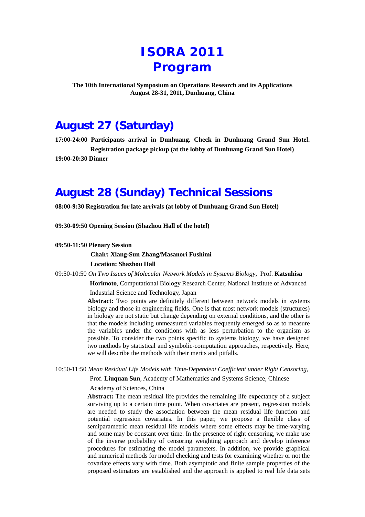# **ISORA 2011 Program**

**The 10th International Symposium on Operations Research and its Applications August 28-31, 2011, Dunhuang, China**

# **August 27 (Saturday)**

**17:00-24:00 Participants arrival in Dunhuang. Check in Dunhuang Grand Sun Hotel. Registration package pickup (at the lobby of Dunhuang Grand Sun Hotel) 19:00-20:30 Dinner**

## **August 28 (Sunday) Technical Sessions**

**08:00-9:30 Registration for late arrivals (at lobby of Dunhuang Grand Sun Hotel)**

**09:30-09:50 Opening Session (Shazhou Hall of the hotel)**

#### **09:50-11:50 Plenary Session**

### **Chair: Xiang-Sun Zhang/Masanori Fushimi Location: Shazhou Hall**

09:50-10:50 *On Two Issues of Molecular Network Models in Systems Biology*, Prof. **Katsuhisa** 

**Horimoto**, Computational Biology Research Center, National Institute of Advanced

Industrial Science and Technology, Japan

**Abstract:** Two points are definitely different between network models in systems biology and those in engineering fields. One is that most network models (structures) in biology are not static but change depending on external conditions, and the other is that the models including unmeasured variables frequently emerged so as to measure the variables under the conditions with as less perturbation to the organism as possible. To consider the two points specific to systems biology, we have designed two methods by statistical and symbolic-computation approaches, respectively. Here, we will describe the methods with their merits and pitfalls.

10:50-11:50 *Mean Residual Life Models with Time-Dependent Coefficient under Right Censoring*,

Prof. **Liuquan Sun**, Academy of Mathematics and Systems Science, Chinese

#### Academy of Sciences, China

**Abstract:** The mean residual life provides the remaining life expectancy of a subject surviving up to a certain time point. When covariates are present, regression models are needed to study the association between the mean residual life function and potential regression covariates. In this paper, we propose a flexible class of semiparametric mean residual life models where some effects may be time-varying and some may be constant over time. In the presence of right censoring, we make use of the inverse probability of censoring weighting approach and develop inference procedures for estimating the model parameters. In addition, we provide graphical and numerical methods for model checking and tests for examining whether or not the covariate effects vary with time. Both asymptotic and finite sample properties of the proposed estimators are established and the approach is applied to real life data sets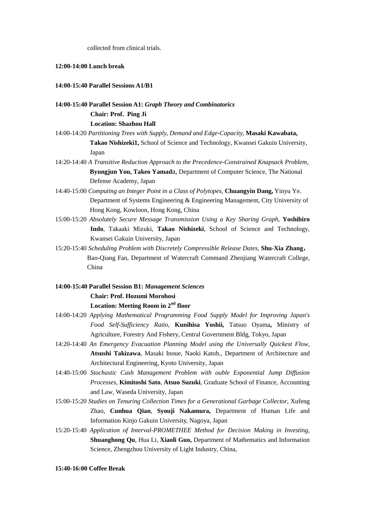collected from clinical trials.

### **12:00-14:00 Lunch break**

### **14:00-15:40 Parallel Sessions A1/B1**

### **14:00-15:40 Parallel Session A1:** *Graph Theory and Combinatorics* **Chair: Prof. Ping Ji Location: Shazhou Hall**

- 14:00-14:20 *Partitioning Trees with Supply, Demand and Edge-Capacity,* **Masaki Kawabata, Takao Nishizeki1,** School of Science and Technology, Kwansei Gakuin University, Japan
- 14:20-14:40 *A Transitive Reduction Approach to the Precedence-Constrained Knapsack Problem,*  **Byungjun You, Takeo Yamad**a, Department of Computer Science, The National Defense Academy, Japan
- 14:40-15:00 *Computing an Integer Point in a Class of Polytopes*, **Chuangyin Dang,** Yinyu Ye. Department of Systems Engineering & Engineering Management, City University of Hong Kong, Kowloon, Hong Kong, China
- 15:00-15:20 *Absolutely Secure Message Transmission Using a Key Sharing Graph,* **Yoshihiro Indo**, Takaaki Mizuki, **Takao Nishizeki**, School of Science and Technology, Kwansei Gakuin University, Japan
- 15:20-15:40 *Scheduling Problem with Discretely Compressible Release Dates,* **Shu-Xia Zhang**, Bao-Qiang Fan, Department of Watercraft Command Zhenjiang Watercraft College, China

### **14:00-15:40 Parallel Session B1:** *Management Sciences* **Chair: Prof. Hozumi Morohosi Location: Meeting Room in 2nd floor**

- 14:00-14:20 *Applying Mathematical Programming Food Supply Model for Improving Japan's Food Self-Sufficiency Ratio*, **Kunihisa Yoshii,** Tatsuo Oyama**,** Ministry of Agriculture, Forestry And Fishery, Central Government Bldg, Tokyo, Japan
- 14:20-14:40 *An Emergency Evacuation Planning Model using the Universally Quickest Flow,* **Atsushi Takizawa**, Masaki Inoue, Naoki Katoh., Department of Architecture and Architectural Engineering, Kyoto University, Japan
- 14:40-15:00 *Stochastic Cash Management Problem with ouble Exponential Jump Diffusion Processes,* **Kimitoshi Sato**, **Atsuo Suzuki**, Graduate School of Finance, Accounting and Law, Waseda University, Japan
- 15:00-15:20 *Studies on Tenuring Collection Times for a Generational Garbage Collector*, Xufeng Zhao, **Cunhua Qian**, **Syouji Nakamura,** Department of Human Life and Information Kinjo Gakuin University, Nagoya, Japan
- 15:20-15:40 *Application of Interval-PROMETHEE Method for Decision Making in Investing*, **Shuanghong Qu**, Hua Li, **Xiaoli Guo,** Department of Mathematics and Information Science, Zhengzhou University of Light Industry, China,

#### **15:40-16:00 Coffee Break**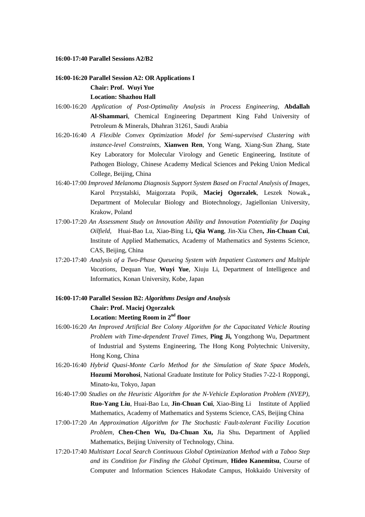**16:00-17:40 Parallel Sessions A2/B2**

### **16:00-16:20 Parallel Session A2: OR Applications I Chair: Prof. Wuyi Yue Location: Shazhou Hall**

- 16:00-16:20 *Application of Post-Optimality Analysis in Process Engineering*, **Abdallah Al-Shammari**, Chemical Engineering Department King Fahd University of Petroleum & Minerals, Dhahran 31261, Saudi Arabia
- 16:20-16:40 *A Flexible Convex Optimization Model for Semi-supervised Clustering with instance-level Constraints,* **Xianwen Ren**, Yong Wang, Xiang-Sun Zhang, State Key Laboratory for Molecular Virology and Genetic Engineering, Institute of Pathogen Biology, Chinese Academy Medical Sciences and Peking Union Medical College, Beijing, China
- 16:40-17:00 *Improved Melanoma Diagnosis Support System Based on Fractal Analysis of Images*, Karol Przystalski, Maigorzata Popik, **Maciej Ogorzalek**, Leszek Nowak.**,**  Department of Molecular Biology and Biotechnology, Jagiellonian University, Krakow, Poland
- 17:00-17:20 *An Assessment Study on Innovation Ability and Innovation Potentiality for Daqing Oilfield,* Huai-Bao Lu, Xiao-Bing Li**, Qia Wang**, Jin-Xia Chen**, Jin-Chuan Cui**, Institute of Applied Mathematics, Academy of Mathematics and Systems Science, CAS, Beijing, China
- 17:20-17:40 *Analysis of a Two-Phase Queueing System with Impatient Customers and Multiple Vacations,* Dequan Yue, **Wuyi Yue**, Xiuju Li, Department of Intelligence and Informatics, Konan University, Kobe, Japan
- **16:00-17:40 Parallel Session B2:** *Algorithms Design and Analysis* **Chair: Prof. Maciej Ogorzałek Location: Meeting Room in 2nd floor**
- 16:00-16:20 *An Improved Artificial Bee Colony Algorithm for the Capacitated Vehicle Routing Problem with Time-dependent Travel Times,* **Ping Ji,** Yongzhong Wu, Department of Industrial and Systems Engineering, The Hong Kong Polytechnic University, Hong Kong, China
- 16:20-16:40 *Hybrid Quasi-Monte Carlo Method for the Simulation of State Space Models,*  **Hozumi Morohosi**, National Graduate Institute for Policy Studies 7-22-1 Roppongi, Minato-ku, Tokyo, Japan
- 16:40-17:00 *Studies on the Heuristic Algorithm for the N-Vehicle Exploration Problem (NVEP),* **Ruo-Yang Liu**, Huai-Bao Lu, **Jin-Chuan Cui**, Xiao-Bing Li Institute of Applied Mathematics, Academy of Mathematics and Systems Science, CAS, Beijing China
- 17:00-17:20 *An Approximation Algorithm for The Stochastic Fault-tolerant Facility Location Problem*, **Chen-Chen Wu, Da-Chuan Xu,** Jia Shu**.** Department of Applied Mathematics, Beijing University of Technology, China.
- 17:20-17:40 *Multistart Local Search Continuous Global Optimization Method with a Taboo Step and its Condition for Finding the Global Optimum,* **Hideo Kanemitsu**, Course of Computer and Information Sciences Hakodate Campus, Hokkaido University of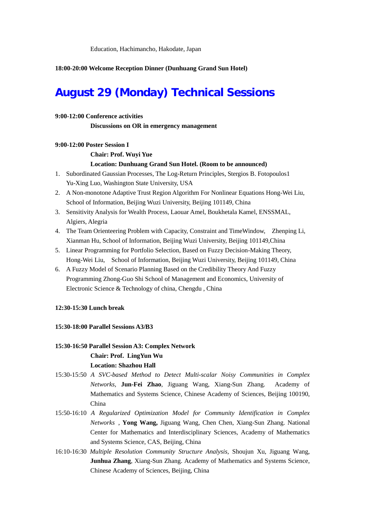#### **18:00-20:00 Welcome Reception Dinner (Dunhuang Grand Sun Hotel)**

# **August 29 (Monday) Technical Sessions**

#### **9:00-12:00 Conference activities**

**Discussions on OR in emergency management**

#### **9:00-12:00 Poster Session I**

**Chair: Prof. Wuyi Yue**

#### **Location: Dunhuang Grand Sun Hotel. (Room to be announced)**

- 1. Subordinated Gaussian Processes, The Log-Return Principles, Stergios B. Fotopoulos1 Yu-Xing Luo, Washington State University, USA
- 2. A Non-monotone Adaptive Trust Region Algorithm For Nonlinear Equations Hong-Wei Liu, School of Information, Beijing Wuzi University, Beijing 101149, China
- 3. Sensitivity Analysis for Wealth Process, Laouar Amel, Boukhetala Kamel, ENSSMAL, Algiers, Alegria
- 4. The Team Orienteering Problem with Capacity, Constraint and TimeWindow, Zhenping Li, Xianman Hu, School of Information, Beijing Wuzi University, Beijing 101149,China
- 5. Linear Programming for Portfolio Selection, Based on Fuzzy Decision-Making Theory, Hong-Wei Liu, School of Information, Beijing Wuzi University, Beijing 101149, China
- 6. A Fuzzy Model of Scenario Planning Based on the Credibility Theory And Fuzzy Programming Zhong-Guo Shi School of Management and Economics, University of Electronic Science & Technology of china, Chengdu , China

### **12:30-15:30 Lunch break**

### **15:30-18:00 Parallel Sessions A3/B3**

### **15:30-16:50 Parallel Session A3: Complex Network Chair: Prof. LingYun Wu Location: Shazhou Hall**

- 15:30-15:50 *A SVC-based Method to Detect Multi-scalar Noisy Communities in Complex Networks,* **Jun-Fei Zhao**, Jiguang Wang, Xiang-Sun Zhang. Academy of Mathematics and Systems Science, Chinese Academy of Sciences, Beijing 100190, China
- 15:50-16:10 *A Regularized Optimization Model for Community Identification in Complex Networks* , **Yong Wang,** Jiguang Wang, Chen Chen, Xiang-Sun Zhang. National Center for Mathematics and Interdisciplinary Sciences, Academy of Mathematics and Systems Science, CAS, Beijing, China
- 16:10-16:30 *Multiple Resolution Community Structure Analysis,* Shoujun Xu, Jiguang Wang, **Junhua Zhang, Xiang-Sun Zhang. Academy of Mathematics and Systems Science,** Chinese Academy of Sciences, Beijing, China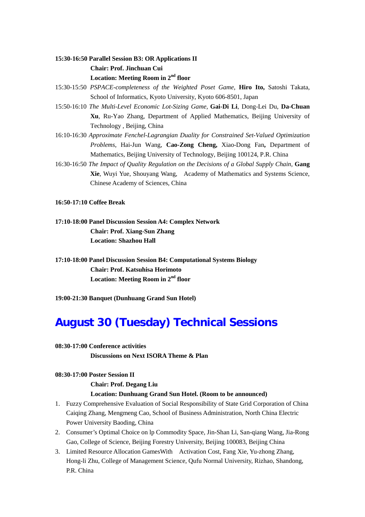### **15:30-16:50 Parallel Session B3: OR Applications II Chair: Prof. Jinchuan Cui Location: Meeting Room in 2nd floor**

- 15:30-15:50 *PSPACE-completeness of the Weighted Poset Game,* **Hiro Ito,** Satoshi Takata, School of Informatics, Kyoto University, Kyoto 606-8501, Japan
- 15:50-16:10 *The Multi-Level Economic Lot-Sizing Game,* **Gai-Di Li**, Dong-Lei Du, **Da-Chuan Xu**, Ru-Yao Zhang, Department of Applied Mathematics, Beijing University of Technology , Beijing, China
- 16:10-16:30 *Approximate Fenchel-Lagrangian Duality for Constrained Set-Valued Optimization Problems*, Hai-Jun Wang, **Cao-Zong Cheng,** Xiao-Dong Fan**,** Department of Mathematics, Beijing University of Technology, Beijing 100124, P.R. China
- 16:30-16:50 *The Impact of Quality Regulation on the Decisions of a Global Supply Chain,* **Gang Xie**, Wuyi Yue, Shouyang Wang, Academy of Mathematics and Systems Science, Chinese Academy of Sciences, China

#### **16:50-17:10 Coffee Break**

- **17:10-18:00 Panel Discussion Session A4: Complex Network Chair: Prof. Xiang-Sun Zhang Location: Shazhou Hall**
- **17:10-18:00 Panel Discussion Session B4: Computational Systems Biology Chair: Prof. Katsuhisa Horimoto Location: Meeting Room in 2nd floor**
- **19:00-21:30 Banquet (Dunhuang Grand Sun Hotel)**

# **August 30 (Tuesday) Technical Sessions**

### **08:30-17:00 Conference activities Discussions on Next ISORA Theme & Plan**

### **08:30-17:00 Poster Session II**

**Chair: Prof. Degang Liu**

### **Location: Dunhuang Grand Sun Hotel. (Room to be announced)**

- 1. Fuzzy Comprehensive Evaluation of Social Responsibility of State Grid Corporation of China Caiqing Zhang, Mengmeng Cao, School of Business Administration, North China Electric Power University Baoding, China
- 2. Consumer's Optimal Choice on lp Commodity Space, Jin-Shan Li, San-qiang Wang, Jia-Rong Gao, College of Science, Beijing Forestry University, Beijing 100083, Beijing China
- 3. Limited Resource Allocation GamesWith Activation Cost, Fang Xie, Yu-zhong Zhang, Hong-li Zhu, College of Management Science, Qufu Normal University, Rizhao, Shandong, P.R. China